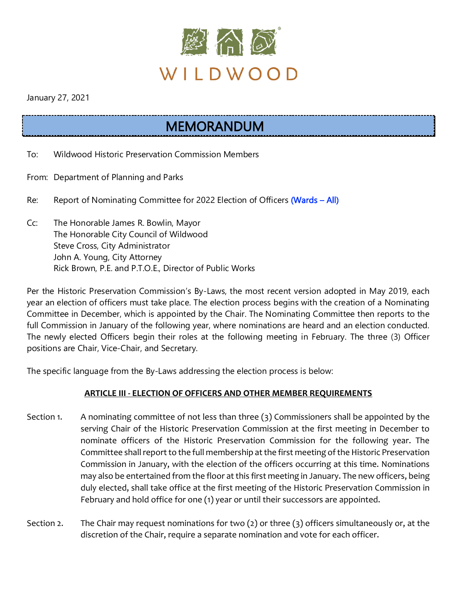

January 27, 2021

## MEMORANDUM

- To: Wildwood Historic Preservation Commission Members
- From: Department of Planning and Parks
- Re: Report of Nominating Committee for 2022 Election of Officers (Wards All)
- Cc: The Honorable James R. Bowlin, Mayor The Honorable City Council of Wildwood Steve Cross, City Administrator John A. Young, City Attorney Rick Brown, P.E. and P.T.O.E., Director of Public Works

Per the Historic Preservation Commission's By-Laws, the most recent version adopted in May 2019, each year an election of officers must take place. The election process begins with the creation of a Nominating Committee in December, which is appointed by the Chair. The Nominating Committee then reports to the full Commission in January of the following year, where nominations are heard and an election conducted. The newly elected Officers begin their roles at the following meeting in February. The three (3) Officer positions are Chair, Vice-Chair, and Secretary.

The specific language from the By-Laws addressing the election process is below:

## **ARTICLE III - ELECTION OF OFFICERS AND OTHER MEMBER REQUIREMENTS**

- Section 1. A nominating committee of not less than three (3) Commissioners shall be appointed by the serving Chair of the Historic Preservation Commission at the first meeting in December to nominate officers of the Historic Preservation Commission for the following year. The Committee shall report to the full membership at the first meeting of the Historic Preservation Commission in January, with the election of the officers occurring at this time. Nominations may also be entertained from the floor at this first meeting in January. The new officers, being duly elected, shall take office at the first meeting of the Historic Preservation Commission in February and hold office for one (1) year or until their successors are appointed.
- Section 2. The Chair may request nominations for two (2) or three (3) officers simultaneously or, at the discretion of the Chair, require a separate nomination and vote for each officer.